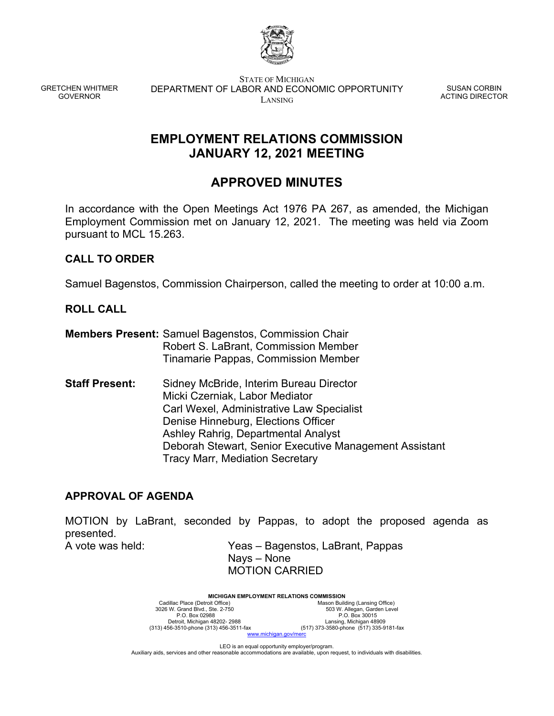

GRETCHEN WHITMER GOVERNOR

STATE OF MICHIGAN DEPARTMENT OF LABOR AND ECONOMIC OPPORTUNITY LANSING

SUSAN CORBIN ACTING DIRECTOR

# **EMPLOYMENT RELATIONS COMMISSION JANUARY 12, 2021 MEETING**

# **APPROVED MINUTES**

In accordance with the Open Meetings Act 1976 PA 267, as amended, the Michigan Employment Commission met on January 12, 2021. The meeting was held via Zoom pursuant to MCL 15.263.

# **CALL TO ORDER**

Samuel Bagenstos, Commission Chairperson, called the meeting to order at 10:00 a.m.

## **ROLL CALL**

- **Members Present:** Samuel Bagenstos, Commission Chair Robert S. LaBrant, Commission Member Tinamarie Pappas, Commission Member
- **Staff Present:** Sidney McBride, Interim Bureau Director Micki Czerniak, Labor Mediator Carl Wexel, Administrative Law Specialist Denise Hinneburg, Elections Officer Ashley Rahrig, Departmental Analyst Deborah Stewart, Senior Executive Management Assistant Tracy Marr, Mediation Secretary

## **APPROVAL OF AGENDA**

MOTION by LaBrant, seconded by Pappas, to adopt the proposed agenda as presented.

A vote was held: Yeas – Bagenstos, LaBrant, Pappas Nays – None MOTION CARRIED

> **MICHIGAN EMPLOYMENT RELATIONS COMMISSION**<br>Mason Build Cadillac Place (Detroit Office) Mason Building (Lansing Office)<br>3026 W. Grand Blvd., Ste. 2-750 503 W. Allegan, Garden Level P.O. Box 02988 P.O. Box 30015 Detroit, Michigan 48202- 2988 Lansing, Michigan 48909 (313) 456-3510-phone (313) 456-3511-fax (517) 373-3580-phone (517) 335-9181-fax ww.michigan.gov/m

LEO is an equal opportunity employer/program. Auxiliary aids, services and other reasonable accommodations are available, upon request, to individuals with disabilities.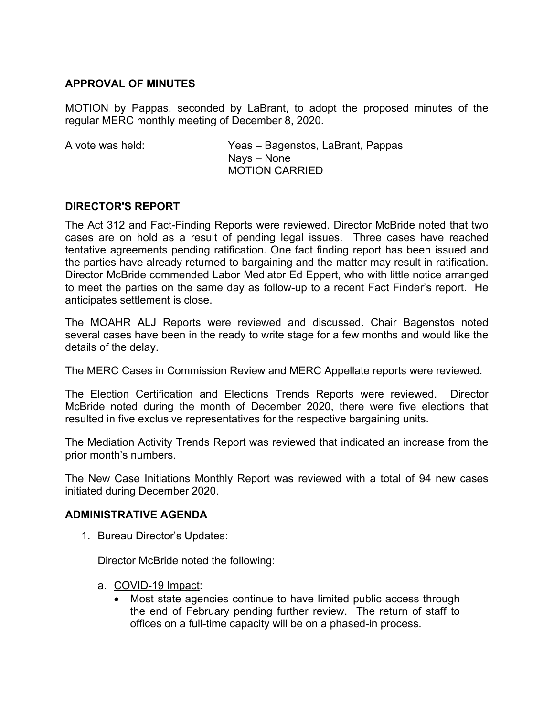## **APPROVAL OF MINUTES**

MOTION by Pappas, seconded by LaBrant, to adopt the proposed minutes of the regular MERC monthly meeting of December 8, 2020.

A vote was held: Yeas – Bagenstos, LaBrant, Pappas Nays – None MOTION CARRIED

### **DIRECTOR'S REPORT**

The Act 312 and Fact-Finding Reports were reviewed. Director McBride noted that two cases are on hold as a result of pending legal issues. Three cases have reached tentative agreements pending ratification. One fact finding report has been issued and the parties have already returned to bargaining and the matter may result in ratification. Director McBride commended Labor Mediator Ed Eppert, who with little notice arranged to meet the parties on the same day as follow-up to a recent Fact Finder's report. He anticipates settlement is close.

The MOAHR ALJ Reports were reviewed and discussed. Chair Bagenstos noted several cases have been in the ready to write stage for a few months and would like the details of the delay.

The MERC Cases in Commission Review and MERC Appellate reports were reviewed.

The Election Certification and Elections Trends Reports were reviewed. Director McBride noted during the month of December 2020, there were five elections that resulted in five exclusive representatives for the respective bargaining units.

The Mediation Activity Trends Report was reviewed that indicated an increase from the prior month's numbers.

The New Case Initiations Monthly Report was reviewed with a total of 94 new cases initiated during December 2020.

#### **ADMINISTRATIVE AGENDA**

1. Bureau Director's Updates:

Director McBride noted the following:

- a. COVID-19 Impact:
	- Most state agencies continue to have limited public access through the end of February pending further review. The return of staff to offices on a full-time capacity will be on a phased-in process.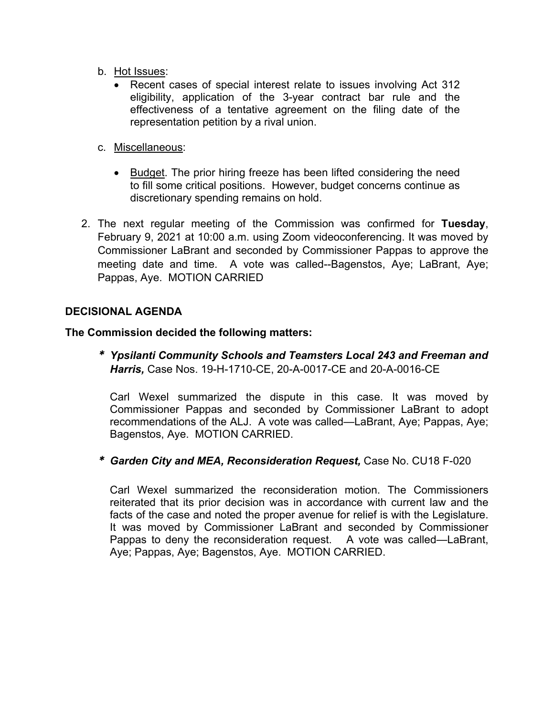- b. Hot Issues:
	- Recent cases of special interest relate to issues involving Act 312 eligibility, application of the 3-year contract bar rule and the effectiveness of a tentative agreement on the filing date of the representation petition by a rival union.
- c. Miscellaneous:
	- Budget. The prior hiring freeze has been lifted considering the need to fill some critical positions. However, budget concerns continue as discretionary spending remains on hold.
- 2. The next regular meeting of the Commission was confirmed for **Tuesday**, February 9, 2021 at 10:00 a.m. using Zoom videoconferencing. It was moved by Commissioner LaBrant and seconded by Commissioner Pappas to approve the meeting date and time. A vote was called--Bagenstos, Aye; LaBrant, Aye; Pappas, Aye. MOTION CARRIED

### **DECISIONAL AGENDA**

#### **The Commission decided the following matters:**

*\* Ypsilanti Community Schools and Teamsters Local 243 and Freeman and Harris,* Case Nos. 19-H-1710-CE, 20-A-0017-CE and 20-A-0016-CE

Carl Wexel summarized the dispute in this case. It was moved by Commissioner Pappas and seconded by Commissioner LaBrant to adopt recommendations of the ALJ. A vote was called—LaBrant, Aye; Pappas, Aye; Bagenstos, Aye. MOTION CARRIED.

*\* Garden City and MEA, Reconsideration Request,* Case No. CU18 F-020

Carl Wexel summarized the reconsideration motion. The Commissioners reiterated that its prior decision was in accordance with current law and the facts of the case and noted the proper avenue for relief is with the Legislature. It was moved by Commissioner LaBrant and seconded by Commissioner Pappas to deny the reconsideration request. A vote was called—LaBrant, Aye; Pappas, Aye; Bagenstos, Aye. MOTION CARRIED.